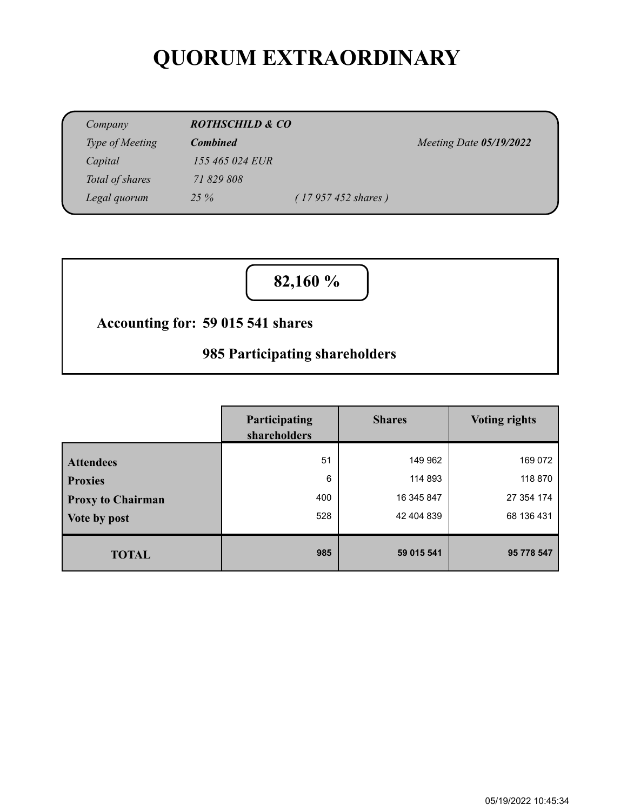# **QUORUM EXTRAORDINARY**

| Company         | <b>ROTHSCHILD &amp; CO</b> |                             |                         |
|-----------------|----------------------------|-----------------------------|-------------------------|
| Type of Meeting | <b>Combined</b>            |                             | Meeting Date 05/19/2022 |
| Capital         | 155 465 024 EUR            |                             |                         |
| Total of shares | 71 829 808                 |                             |                         |
| Legal quorum    | $25\%$                     | $(17957452 \text{ shares})$ |                         |

**82,160 %**

### **59 015 541 shares Accounting for:**

## **985 Participating shareholders**

|                          | Participating<br>shareholders | <b>Shares</b> | <b>Voting rights</b> |
|--------------------------|-------------------------------|---------------|----------------------|
| <b>Attendees</b>         | 51                            | 149 962       | 169 072              |
| <b>Proxies</b>           | 6                             | 114 893       | 118 870              |
| <b>Proxy to Chairman</b> | 400                           | 16 345 847    | 27 354 174           |
| Vote by post             | 528                           | 42 404 839    | 68 136 431           |
| <b>TOTAL</b>             | 985                           | 59 015 541    | 95 778 547           |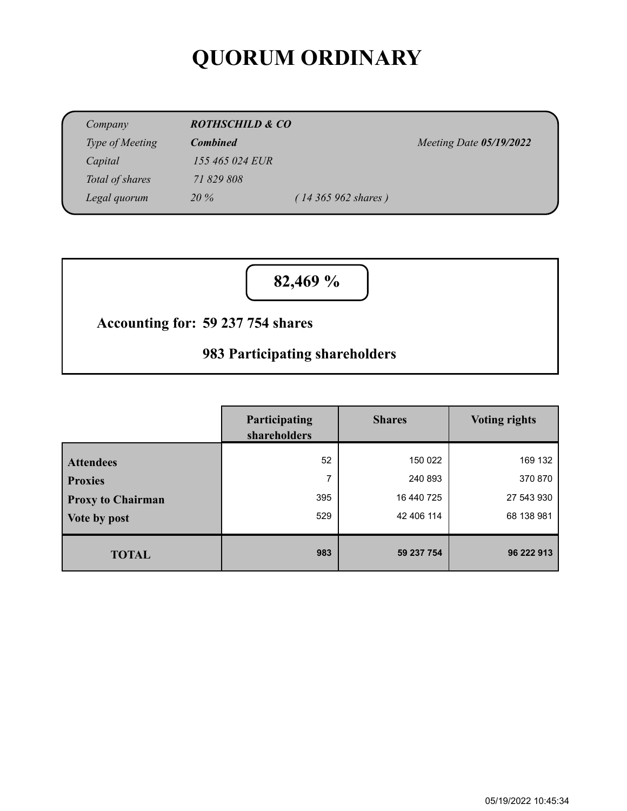# **QUORUM ORDINARY**

| Company         | <b>ROTHSCHILD &amp; CO</b> |                             |                         |  |
|-----------------|----------------------------|-----------------------------|-------------------------|--|
| Type of Meeting | <b>Combined</b>            |                             | Meeting Date 05/19/2022 |  |
| Capital         | 155 465 024 EUR            |                             |                         |  |
| Total of shares | 71 829 808                 |                             |                         |  |
| Legal quorum    | 20%                        | $(14365962 \text{ shares})$ |                         |  |

**82,469 %**

### **59 237 754 shares Accounting for:**

## **983 Participating shareholders**

|                                                                | Participating<br>shareholders | <b>Shares</b>                                  | <b>Voting rights</b>                           |
|----------------------------------------------------------------|-------------------------------|------------------------------------------------|------------------------------------------------|
| <b>Attendees</b><br><b>Proxies</b><br><b>Proxy to Chairman</b> | 52<br>7<br>395<br>529         | 150 022<br>240 893<br>16 440 725<br>42 406 114 | 169 132<br>370 870<br>27 543 930<br>68 138 981 |
| Vote by post<br><b>TOTAL</b>                                   | 983                           | 59 237 754                                     | 96 222 913                                     |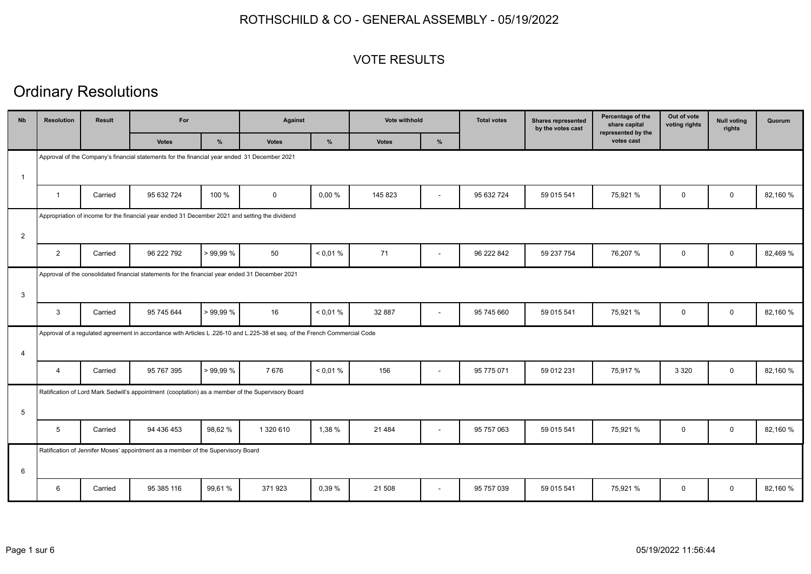#### VOTE RESULTS

| <b>Nb</b>      | <b>Resolution</b> | Result  | For                                                                                                                       |         | Against      |          | Vote withhold |                          | <b>Total votes</b> | <b>Shares represented</b><br>by the votes cast | Percentage of the<br>share capital<br>represented by the | Out of vote<br>voting rights | <b>Null voting</b><br>rights | Quorum   |
|----------------|-------------------|---------|---------------------------------------------------------------------------------------------------------------------------|---------|--------------|----------|---------------|--------------------------|--------------------|------------------------------------------------|----------------------------------------------------------|------------------------------|------------------------------|----------|
|                |                   |         | <b>Votes</b>                                                                                                              | %       | <b>Votes</b> | %        | <b>Votes</b>  | %                        |                    |                                                | votes cast                                               |                              |                              |          |
|                |                   |         | Approval of the Company's financial statements for the financial year ended 31 December 2021                              |         |              |          |               |                          |                    |                                                |                                                          |                              |                              |          |
| $\mathbf{1}$   |                   |         |                                                                                                                           |         |              |          |               |                          |                    |                                                |                                                          |                              |                              |          |
|                | $\overline{1}$    | Carried | 95 632 724                                                                                                                | 100 %   | $\mathbf 0$  | 0,00%    | 145 823       | $\overline{\phantom{a}}$ | 95 632 724         | 59 015 541                                     | 75,921 %                                                 | $\mathbf 0$                  | $\mathbf{0}$                 | 82,160 % |
|                |                   |         | Appropriation of income for the financial year ended 31 December 2021 and setting the dividend                            |         |              |          |               |                          |                    |                                                |                                                          |                              |                              |          |
| $\overline{2}$ |                   |         |                                                                                                                           |         |              |          |               |                          |                    |                                                |                                                          |                              |                              |          |
|                | 2                 | Carried | 96 222 792                                                                                                                | >99.99% | 50           | < 0.01 % | 71            | $\blacksquare$           | 96 222 842         | 59 237 754                                     | 76,207 %                                                 | $\mathbf 0$                  | $\mathbf 0$                  | 82,469 % |
|                |                   |         | Approval of the consolidated financial statements for the financial year ended 31 December 2021                           |         |              |          |               |                          |                    |                                                |                                                          |                              |                              |          |
| 3              |                   |         |                                                                                                                           |         |              |          |               |                          |                    |                                                |                                                          |                              |                              |          |
|                | 3                 | Carried | 95 745 644                                                                                                                | >99.99% | 16           | < 0.01 % | 32 887        | $\blacksquare$           | 95 745 660         | 59 015 541                                     | 75,921 %                                                 | $\mathbf 0$                  | $\mathbf 0$                  | 82,160 % |
|                |                   |         | Approval of a regulated agreement in accordance with Articles L.226-10 and L.225-38 et seq. of the French Commercial Code |         |              |          |               |                          |                    |                                                |                                                          |                              |                              |          |
| $\overline{4}$ |                   |         |                                                                                                                           |         |              |          |               |                          |                    |                                                |                                                          |                              |                              |          |
|                | $\overline{4}$    | Carried | 95 767 395                                                                                                                | >99.99% | 7676         | < 0.01 % | 156           | $\blacksquare$           | 95 775 071         | 59 012 231                                     | 75,917 %                                                 | 3 3 2 0                      | $\mathbf 0$                  | 82,160 % |
|                |                   |         | Ratification of Lord Mark Sedwill's appointment (cooptation) as a member of the Supervisory Board                         |         |              |          |               |                          |                    |                                                |                                                          |                              |                              |          |
| 5              |                   |         |                                                                                                                           |         |              |          |               |                          |                    |                                                |                                                          |                              |                              |          |
|                | 5                 | Carried | 94 436 453                                                                                                                | 98,62%  | 1 320 610    | 1,38 %   | 21 4 8 4      | $\sim$                   | 95 757 063         | 59 015 541                                     | 75,921 %                                                 | $\mathbf 0$                  | $\mathbf 0$                  | 82.160 % |
|                |                   |         | Ratification of Jennifer Moses' appointment as a member of the Supervisory Board                                          |         |              |          |               |                          |                    |                                                |                                                          |                              |                              |          |
| 6              |                   |         |                                                                                                                           |         |              |          |               |                          |                    |                                                |                                                          |                              |                              |          |
|                | 6                 | Carried | 95 385 116                                                                                                                | 99.61 % | 371923       | 0,39 %   | 21 508        | $\blacksquare$           | 95 757 039         | 59 015 541                                     | 75,921 %                                                 | $\mathbf 0$                  | $\mathbf 0$                  | 82,160 % |
|                |                   |         |                                                                                                                           |         |              |          |               |                          |                    |                                                |                                                          |                              |                              |          |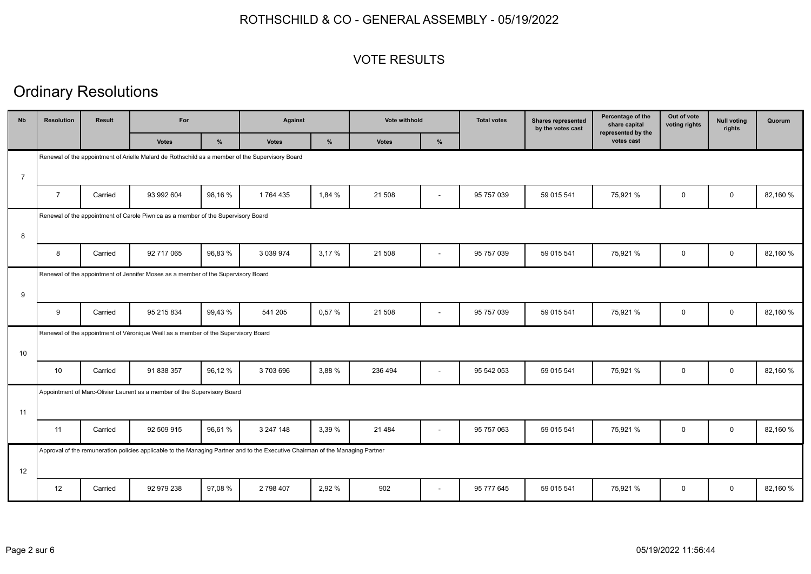#### VOTE RESULTS

| <b>Nb</b>      | <b>Resolution</b> | Result  | For                                                                                                                            |        | <b>Against</b> |        | Vote withhold |                          | <b>Total votes</b> | <b>Shares represented</b><br>by the votes cast | Percentage of the<br>share capital<br>represented by the | Out of vote<br>voting rights | <b>Null voting</b><br>rights | Quorum   |
|----------------|-------------------|---------|--------------------------------------------------------------------------------------------------------------------------------|--------|----------------|--------|---------------|--------------------------|--------------------|------------------------------------------------|----------------------------------------------------------|------------------------------|------------------------------|----------|
|                |                   |         | <b>Votes</b>                                                                                                                   | %      | <b>Votes</b>   | %      | <b>Votes</b>  | $\%$                     |                    |                                                | votes cast                                               |                              |                              |          |
|                |                   |         | Renewal of the appointment of Arielle Malard de Rothschild as a member of the Supervisory Board                                |        |                |        |               |                          |                    |                                                |                                                          |                              |                              |          |
| $\overline{7}$ |                   |         |                                                                                                                                |        |                |        |               |                          |                    |                                                |                                                          |                              |                              |          |
|                | $\overline{7}$    | Carried | 93 992 604                                                                                                                     | 98,16% | 1764 435       | 1,84 % | 21 508        | ÷                        | 95 757 039         | 59 015 541                                     | 75,921 %                                                 | $\mathbf 0$                  | $\mathbf 0$                  | 82,160 % |
|                |                   |         | Renewal of the appointment of Carole Piwnica as a member of the Supervisory Board                                              |        |                |        |               |                          |                    |                                                |                                                          |                              |                              |          |
| 8              |                   |         |                                                                                                                                |        |                |        |               |                          |                    |                                                |                                                          |                              |                              |          |
|                | 8                 | Carried | 92 717 065                                                                                                                     | 96,83% | 3 0 3 9 9 7 4  | 3,17%  | 21 508        | $\blacksquare$           | 95 757 039         | 59 015 541                                     | 75,921 %                                                 | $\mathbf 0$                  | $\mathbf 0$                  | 82,160 % |
|                |                   |         | Renewal of the appointment of Jennifer Moses as a member of the Supervisory Board                                              |        |                |        |               |                          |                    |                                                |                                                          |                              |                              |          |
| 9              |                   |         |                                                                                                                                |        |                |        |               |                          |                    |                                                |                                                          |                              |                              |          |
|                | 9                 | Carried | 95 215 834                                                                                                                     | 99,43% | 541 205        | 0,57 % | 21 508        | $\overline{\phantom{a}}$ | 95 757 039         | 59 015 541                                     | 75,921 %                                                 | $\mathbf 0$                  | $\mathbf 0$                  | 82,160 % |
|                |                   |         | Renewal of the appointment of Véronique Weill as a member of the Supervisory Board                                             |        |                |        |               |                          |                    |                                                |                                                          |                              |                              |          |
| 10             |                   |         |                                                                                                                                |        |                |        |               |                          |                    |                                                |                                                          |                              |                              |          |
|                | 10                | Carried | 91 838 357                                                                                                                     | 96,12% | 3703696        | 3,88 % | 236 494       | $\blacksquare$           | 95 542 053         | 59 015 541                                     | 75,921 %                                                 | 0                            | $\mathbf 0$                  | 82,160 % |
|                |                   |         | Appointment of Marc-Olivier Laurent as a member of the Supervisory Board                                                       |        |                |        |               |                          |                    |                                                |                                                          |                              |                              |          |
| 11             |                   |         |                                                                                                                                |        |                |        |               |                          |                    |                                                |                                                          |                              |                              |          |
|                | 11                | Carried | 92 509 915                                                                                                                     | 96,61% | 3 247 148      | 3,39 % | 21 4 8 4      | $\overline{\phantom{a}}$ | 95 757 063         | 59 015 541                                     | 75,921 %                                                 | $\mathbf 0$                  | $\mathbf{0}$                 | 82,160 % |
|                |                   |         | Approval of the remuneration policies applicable to the Managing Partner and to the Executive Chairman of the Managing Partner |        |                |        |               |                          |                    |                                                |                                                          |                              |                              |          |
| 12             |                   |         |                                                                                                                                |        |                |        |               |                          |                    |                                                |                                                          |                              |                              |          |
|                | 12                | Carried | 92 979 238                                                                                                                     | 97,08% | 2 798 407      | 2,92 % | 902           |                          | 95 777 645         | 59 015 541                                     | 75,921 %                                                 | 0                            | $\mathbf 0$                  | 82,160 % |
|                |                   |         |                                                                                                                                |        |                |        |               |                          |                    |                                                |                                                          |                              |                              |          |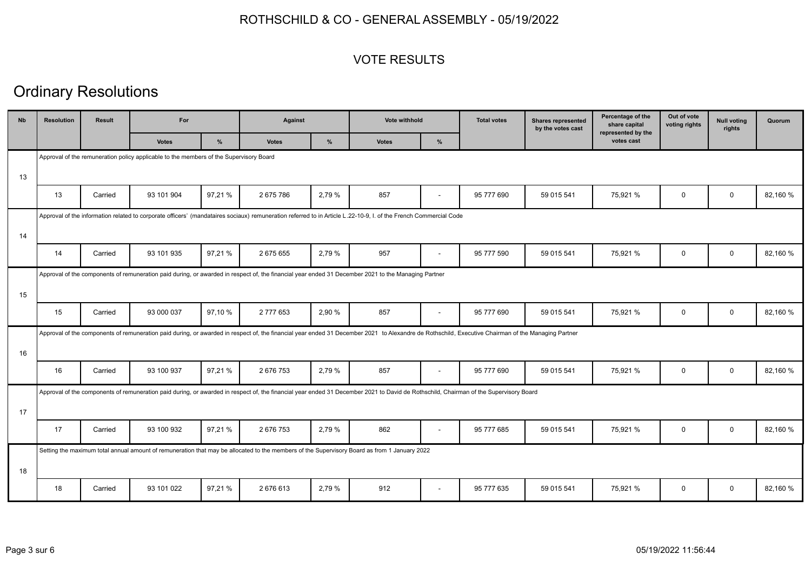#### VOTE RESULTS

| <b>N<sub>b</sub></b> | <b>Resolution</b> | Result  | For                                                                                    |         | Against      |        | <b>Vote withhold</b>                                                                                                                                                                               |                          | <b>Total votes</b> | <b>Shares represented</b><br>by the votes cast | Percentage of the<br>share capital<br>represented by the | Out of vote<br>voting rights | <b>Null voting</b><br>rights | Quorum   |
|----------------------|-------------------|---------|----------------------------------------------------------------------------------------|---------|--------------|--------|----------------------------------------------------------------------------------------------------------------------------------------------------------------------------------------------------|--------------------------|--------------------|------------------------------------------------|----------------------------------------------------------|------------------------------|------------------------------|----------|
|                      |                   |         | <b>Votes</b>                                                                           | %       | <b>Votes</b> | %      | <b>Votes</b>                                                                                                                                                                                       | %                        |                    |                                                | votes cast                                               |                              |                              |          |
|                      |                   |         | Approval of the remuneration policy applicable to the members of the Supervisory Board |         |              |        |                                                                                                                                                                                                    |                          |                    |                                                |                                                          |                              |                              |          |
| 13                   |                   |         |                                                                                        |         |              |        |                                                                                                                                                                                                    |                          |                    |                                                |                                                          |                              |                              |          |
|                      | 13                | Carried | 93 101 904                                                                             | 97,21 % | 2 675 786    | 2,79 % | 857                                                                                                                                                                                                | $\overline{\phantom{a}}$ | 95 777 690         | 59 015 541                                     | 75,921 %                                                 | $\mathbf 0$                  | $\mathbf 0$                  | 82,160 % |
|                      |                   |         |                                                                                        |         |              |        | Approval of the information related to corporate officers' (mandataires sociaux) remuneration referred to in Article L.22-10-9, I. of the French Commercial Code                                   |                          |                    |                                                |                                                          |                              |                              |          |
| 14                   |                   |         |                                                                                        |         |              |        |                                                                                                                                                                                                    |                          |                    |                                                |                                                          |                              |                              |          |
|                      | 14                | Carried | 93 101 935                                                                             | 97,21%  | 2675655      | 2,79 % | 957                                                                                                                                                                                                | $\overline{\phantom{a}}$ | 95 777 590         | 59 015 541                                     | 75,921 %                                                 | 0                            | $\mathbf 0$                  | 82,160 % |
|                      |                   |         |                                                                                        |         |              |        | Approval of the components of remuneration paid during, or awarded in respect of, the financial year ended 31 December 2021 to the Managing Partner                                                |                          |                    |                                                |                                                          |                              |                              |          |
| 15                   |                   |         |                                                                                        |         |              |        |                                                                                                                                                                                                    |                          |                    |                                                |                                                          |                              |                              |          |
|                      | 15                | Carried | 93 000 037                                                                             | 97,10 % | 2 777 653    | 2.90 % | 857                                                                                                                                                                                                | $\blacksquare$           | 95 777 690         | 59 015 541                                     | 75,921 %                                                 | 0                            | $\mathbf 0$                  | 82,160 % |
|                      |                   |         |                                                                                        |         |              |        | Approval of the components of remuneration paid during, or awarded in respect of, the financial year ended 31 December 2021 to Alexandre de Rothschild, Executive Chairman of the Managing Partner |                          |                    |                                                |                                                          |                              |                              |          |
| 16                   |                   |         |                                                                                        |         |              |        |                                                                                                                                                                                                    |                          |                    |                                                |                                                          |                              |                              |          |
|                      | 16                | Carried | 93 100 937                                                                             | 97,21%  | 2 676 753    | 2,79 % | 857                                                                                                                                                                                                | $\blacksquare$           | 95 777 690         | 59 015 541                                     | 75,921 %                                                 | $\mathbf 0$                  | $\mathbf 0$                  | 82,160 % |
|                      |                   |         |                                                                                        |         |              |        | Approval of the components of remuneration paid during, or awarded in respect of, the financial year ended 31 December 2021 to David de Rothschild, Chairman of the Supervisory Board              |                          |                    |                                                |                                                          |                              |                              |          |
| 17                   |                   |         |                                                                                        |         |              |        |                                                                                                                                                                                                    |                          |                    |                                                |                                                          |                              |                              |          |
|                      | 17                | Carried | 93 100 932                                                                             | 97,21 % | 2676753      | 2,79 % | 862                                                                                                                                                                                                | $\blacksquare$           | 95 777 685         | 59 015 541                                     | 75,921 %                                                 | 0                            | $\mathbf 0$                  | 82,160 % |
|                      |                   |         |                                                                                        |         |              |        | Setting the maximum total annual amount of remuneration that may be allocated to the members of the Supervisory Board as from 1 January 2022                                                       |                          |                    |                                                |                                                          |                              |                              |          |
| 18                   |                   |         |                                                                                        |         |              |        |                                                                                                                                                                                                    |                          |                    |                                                |                                                          |                              |                              |          |
|                      | 18                | Carried | 93 101 022                                                                             | 97,21%  | 2676613      | 2,79 % | 912                                                                                                                                                                                                | $\blacksquare$           | 95 777 635         | 59 015 541                                     | 75,921 %                                                 | $\mathbf 0$                  | $\mathbf 0$                  | 82,160 % |
|                      |                   |         |                                                                                        |         |              |        |                                                                                                                                                                                                    |                          |                    |                                                |                                                          |                              |                              |          |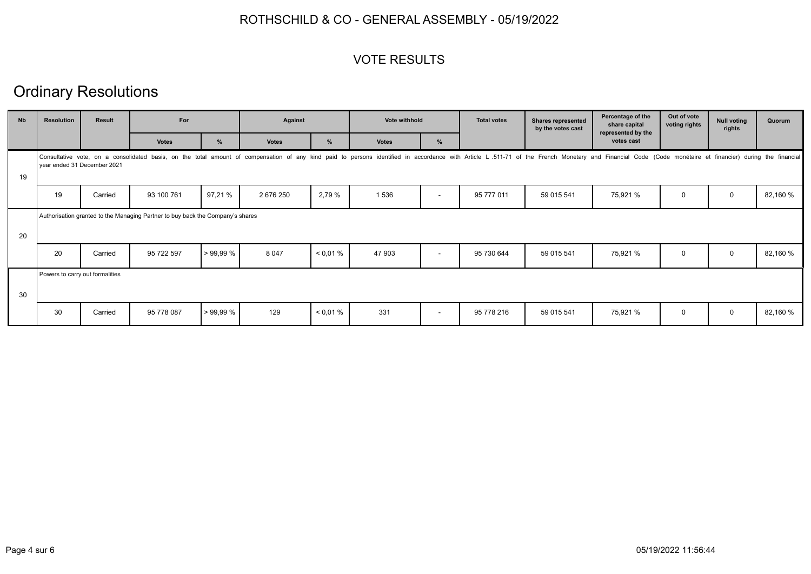#### VOTE RESULTS

| <b>N<sub>b</sub></b> | <b>Resolution</b>               | <b>Result</b> | For                                                                            |         | Against      |               | Vote withhold                                                                                                                                                                                                                  |                          | <b>Total votes</b> | <b>Shares represented</b><br>by the votes cast | Percentage of the<br>share capital<br>represented by the | Out of vote<br>voting rights | <b>Null voting</b><br>rights | Quorum   |
|----------------------|---------------------------------|---------------|--------------------------------------------------------------------------------|---------|--------------|---------------|--------------------------------------------------------------------------------------------------------------------------------------------------------------------------------------------------------------------------------|--------------------------|--------------------|------------------------------------------------|----------------------------------------------------------|------------------------------|------------------------------|----------|
|                      |                                 |               | <b>Votes</b>                                                                   | $\%$    | <b>Votes</b> | $\frac{9}{6}$ | <b>Votes</b>                                                                                                                                                                                                                   | %                        |                    |                                                | votes cast                                               |                              |                              |          |
| 19                   | year ended 31 December 2021     |               |                                                                                |         |              |               | Consultative vote, on a consolidated basis, on the total amount of compensation of any kind paid to persons identified in accordance with Article L.511-71 of the French Monetary and Financial Code (Code monétaire et financ |                          |                    |                                                |                                                          |                              |                              |          |
|                      | 19                              | Carried       | 93 100 761                                                                     | 97,21 % | 2 676 250    | 2,79 %        | 1 5 3 6                                                                                                                                                                                                                        | $\overline{\phantom{a}}$ | 95 777 011         | 59 015 541                                     | 75,921 %                                                 | 0                            | $\mathbf 0$                  | 82,160 % |
| 20                   |                                 |               | Authorisation granted to the Managing Partner to buy back the Company's shares |         |              |               |                                                                                                                                                                                                                                |                          |                    |                                                |                                                          |                              |                              |          |
|                      | 20                              | Carried       | 95 722 597                                                                     | >99.99% | 8 0 4 7      | < 0.01 %      | 47 903                                                                                                                                                                                                                         | $\overline{\phantom{a}}$ | 95 730 644         | 59 015 541                                     | 75,921 %                                                 | 0                            | $\mathbf 0$                  | 82,160 % |
| 30                   | Powers to carry out formalities |               |                                                                                |         |              |               |                                                                                                                                                                                                                                |                          |                    |                                                |                                                          |                              |                              |          |
|                      | 30                              | Carried       | 95 778 087                                                                     | >99,99% | 129          | < 0.01 %      | 331                                                                                                                                                                                                                            | $\sim$                   | 95 778 216         | 59 015 541                                     | 75,921 %                                                 | 0                            | $\mathbf 0$                  | 82,160 % |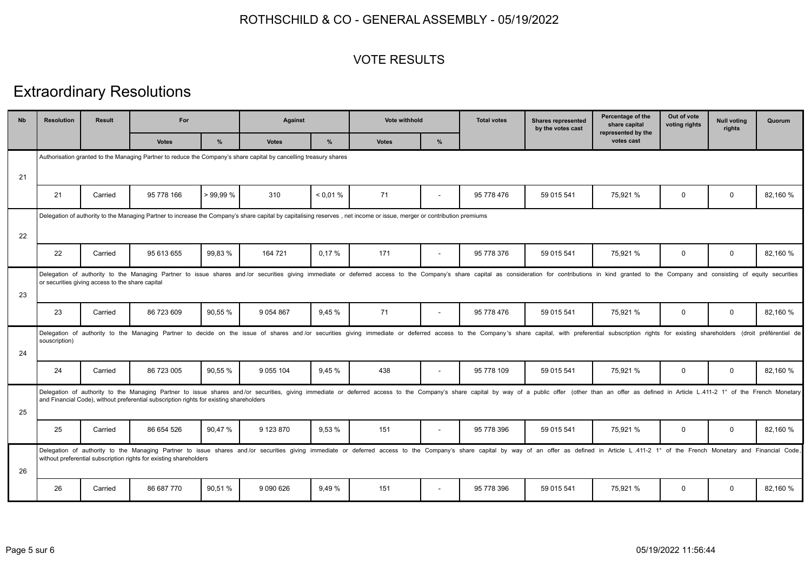#### VOTE RESULTS

# Extraordinary Resolutions

| <b>Nb</b> | <b>Resolution</b>                                                                                                                                                      | <b>Result</b>                                    | For                                                                                                               |         | Against       |          | <b>Vote withhold</b>                                                                                                                                                                                                           |                          | <b>Total votes</b> | <b>Shares represented</b><br>by the votes cast | Percentage of the<br>share capital<br>represented by the | Out of vote<br>voting rights | <b>Null voting</b><br>rights | Quorum   |
|-----------|------------------------------------------------------------------------------------------------------------------------------------------------------------------------|--------------------------------------------------|-------------------------------------------------------------------------------------------------------------------|---------|---------------|----------|--------------------------------------------------------------------------------------------------------------------------------------------------------------------------------------------------------------------------------|--------------------------|--------------------|------------------------------------------------|----------------------------------------------------------|------------------------------|------------------------------|----------|
|           |                                                                                                                                                                        |                                                  | <b>Votes</b>                                                                                                      | $\%$    | <b>Votes</b>  | $\%$     | <b>Votes</b>                                                                                                                                                                                                                   | %                        |                    |                                                | votes cast                                               |                              |                              |          |
|           |                                                                                                                                                                        |                                                  | Authorisation granted to the Managing Partner to reduce the Company's share capital by cancelling treasury shares |         |               |          |                                                                                                                                                                                                                                |                          |                    |                                                |                                                          |                              |                              |          |
| 21        |                                                                                                                                                                        |                                                  |                                                                                                                   |         |               |          |                                                                                                                                                                                                                                |                          |                    |                                                |                                                          |                              |                              |          |
|           | 21                                                                                                                                                                     | Carried                                          | 95 778 166                                                                                                        | >99.99% | 310           | < 0.01 % | 71                                                                                                                                                                                                                             | $\blacksquare$           | 95 778 476         | 59 015 541                                     | 75,921 %                                                 | $\mathbf 0$                  | $\mathbf 0$                  | 82,160 % |
| 22        | Delegation of authority to the Managing Partner to increase the Company's share capital by capitalising reserves, net income or issue, merger or contribution premiums |                                                  |                                                                                                                   |         |               |          |                                                                                                                                                                                                                                |                          |                    |                                                |                                                          |                              |                              |          |
|           | 22                                                                                                                                                                     | Carried                                          | 95 613 655                                                                                                        | 99,83 % | 164 721       | 0.17%    | 171                                                                                                                                                                                                                            |                          | 95 778 376         | 59 015 541                                     | 75.921 %                                                 | $\mathbf 0$                  | $\mathbf 0$                  | 82,160 % |
| 23        |                                                                                                                                                                        | or securities giving access to the share capital |                                                                                                                   |         |               |          | Delegation of authority to the Managing Partner to issue shares and/or securities giving immediate or deferred access to the Company's share capital as consideration for contributions in kind granted to the Company and con |                          |                    |                                                |                                                          |                              |                              |          |
|           | 23                                                                                                                                                                     | Carried                                          | 86 723 609                                                                                                        | 90.55 % | 9 0 54 8 67   | 9.45 %   | 71                                                                                                                                                                                                                             | $\overline{\phantom{a}}$ | 95 778 476         | 59 015 541                                     | 75.921 %                                                 | $\mathbf 0$                  | $\Omega$                     | 82,160 % |
| 24        | souscription)                                                                                                                                                          |                                                  |                                                                                                                   |         |               |          | Delegation of authority to the Managing Partner to decide on the issue of shares and/or securities giving immediate or deferred access to the Company's share capital, with preferential subscription rights for existing shar |                          |                    |                                                |                                                          |                              |                              |          |
|           | 24                                                                                                                                                                     | Carried                                          | 86 723 005                                                                                                        | 90,55 % | 9 0 5 10 4    | 9,45 %   | 438                                                                                                                                                                                                                            | $\blacksquare$           | 95 778 109         | 59 015 541                                     | 75,921 %                                                 | $\mathbf 0$                  | $\mathbf 0$                  | 82,160 % |
| 25        |                                                                                                                                                                        |                                                  | and Financial Code), without preferential subscription rights for existing shareholders                           |         |               |          | Delegation of authority to the Managing Partner to issue shares and/or securities, giving immediate or deferred access to the Company's share capital by way of a public offer (other than an offer as defined in Article L.41 |                          |                    |                                                |                                                          |                              |                              |          |
|           | 25                                                                                                                                                                     | Carried                                          | 86 654 526                                                                                                        | 90,47%  | 9 123 870     | 9.53 %   | 151                                                                                                                                                                                                                            | $\sim$                   | 95 778 396         | 59 015 541                                     | 75,921 %                                                 | $\mathbf 0$                  | $\mathbf 0$                  | 82,160 % |
| 26        |                                                                                                                                                                        |                                                  | without preferential subscription rights for existing shareholders                                                |         |               |          | Delegation of authority to the Managing Partner to issue shares and/or securities giving immediate or deferred access to the Company's share capital by way of an offer as defined in Article L 411-2 1° of the French Monetar |                          |                    |                                                |                                                          |                              |                              |          |
|           | 26                                                                                                                                                                     | Carried                                          | 86 687 770                                                                                                        | 90,51%  | 9 0 9 0 6 2 6 | 9.49%    | 151                                                                                                                                                                                                                            | $\blacksquare$           | 95 778 396         | 59 015 541                                     | 75,921 %                                                 | $\Omega$                     | $\Omega$                     | 82,160 % |